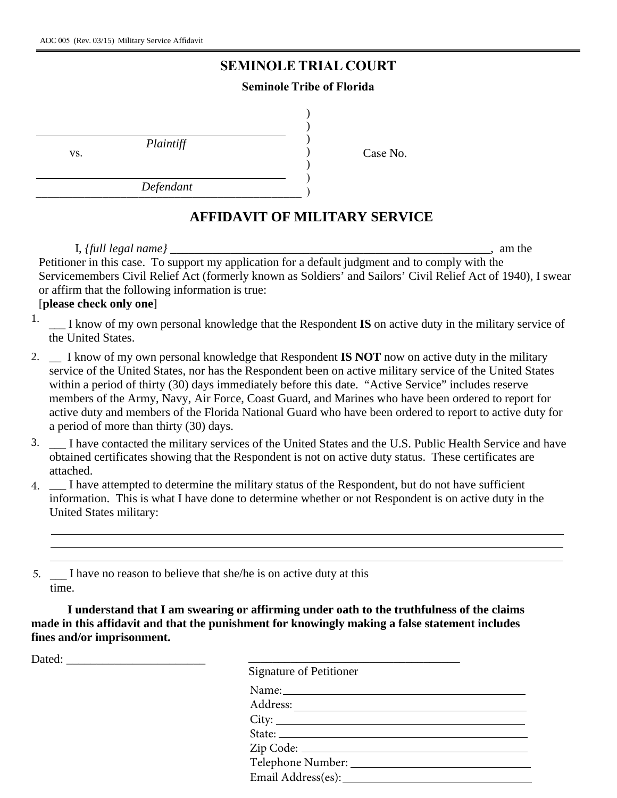## **SEMINOLE TRIAL COURT**

## **Seminole Tribe of Florida**

) ) )

) ) )

*Plaintiff*

Case No. )

*Defendant*  $Dejenann$ 

## **AFFIDAVIT OF MILITARY SERVICE**

I, *{full legal name}* \_\_\_\_\_\_\_\_\_\_\_\_\_\_\_\_\_\_\_\_\_\_\_\_\_\_\_\_\_\_\_\_\_\_\_\_\_\_\_\_\_\_\_\_\_\_\_\_\_\_\_\_\_, am the Petitioner in this case. To support my application for a default judgment and to comply with the Servicemembers Civil Relief Act (formerly known as Soldiers' and Sailors' Civil Relief Act of 1940), I swear or affirm that the following information is true:

## [**please check only one**]

vs.

- <sup>1.</sup> \_\_\_ I know of my own personal knowledge that the Respondent **IS** on active duty in the military service of the United States.
- 2. \_\_ I know of my own personal knowledge that Respondent **IS NOT** now on active duty in the military service of the United States, nor has the Respondent been on active military service of the United States within a period of thirty (30) days immediately before this date. "Active Service" includes reserve members of the Army, Navy, Air Force, Coast Guard, and Marines who have been ordered to report for active duty and members of the Florida National Guard who have been ordered to report to active duty for a period of more than thirty (30) days.
- 3. \_\_\_ I have contacted the military services of the United States and the U.S. Public Health Service and have obtained certificates showing that the Respondent is not on active duty status. These certificates are attached.
- 4. 
I have attempted to determine the military status of the Respondent, but do not have sufficient information. This is what I have done to determine whether or not Respondent is on active duty in the United States military:

5.  $\Box$  I have no reason to believe that she/he is on active duty at this time.

**I understand that I am swearing or affirming under oath to the truthfulness of the claims made in this affidavit and that the punishment for knowingly making a false statement includes fines and/or imprisonment.**

Dated: \_\_\_\_\_\_\_\_\_\_\_\_\_\_\_\_\_\_\_\_\_\_\_ \_\_\_\_\_\_\_\_\_\_\_\_\_\_\_\_\_\_\_\_\_\_\_\_\_\_\_\_\_\_\_\_\_\_\_

| Signature of Petitioner |  |
|-------------------------|--|
|                         |  |
|                         |  |
|                         |  |
|                         |  |
|                         |  |
|                         |  |
|                         |  |